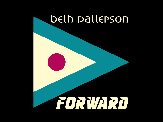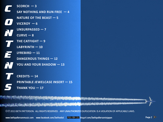<span id="page-1-0"></span>

| $SCORCH - 3$                    |
|---------------------------------|
| SAY NOTHING AND RUN FREE $-4$   |
| <b>NATURE OF THE BEAST - 5</b>  |
| $VICEROY - 6$                   |
| UNSURPASSED - 7                 |
| $CURVE-8$                       |
| THE CATFIGHT $-9$               |
| $LABYRINTH - 10$                |
| $LYREBIRD - 11$                 |
| <b>DANGEROUS THINGS - 12</b>    |
| <b>YOU AND YOUR SHADOW - 13</b> |
|                                 |
| TS $-$ 14 $\,$<br>CRFI          |
|                                 |

S

**[CREDITS — 14](#page-13-0) [PRINTABLE JEWELCASE INSERT — 15](#page-14-0) [THANK YOU — 17](#page-16-0)**

© 2013 BETH PATTERSON. ALL RIGHTS RESERVED. ANY UNAUTHORIZED DUPLICATION IS A VIOLATION OF APPLICABLE LAWS.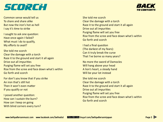### <span id="page-2-0"></span>SCORCH

[BACK](#page-1-0) TO CONTENTS

Common sense would tell us To share and share alike But now the iron's hot as hell I say it's time to strike

I sought to ask one question: Have once again I failed? What must I do to qualify, My efforts to avail?

She told me scorch Clear the damage with a torch Raze it to the ground and start it all again Drive out all impurities Purging flame will set you free Rise from the scree and face down what's within Go forth and scorch

For don't you know that if you strike An iron that's still hot Then it won't even matter If you qualify or not

I posed another question: How can I sustain the burn? How can I keep on going With blind corners every turn? She told me scorch Clear the damage with a torch Raze it to the ground and start it all again Drive out all impurities Purging flame will set you free Rise from the scree and face down what's within Go forth and scorch

I had a final question (The darkest of my fears): Can it truly break the curse That I've borne so many years?

No more the sword of Damocles Will hang above your head A lion's heart, a steady hand Will be your lot instead

She told me scorch Clear the damage with a torch Raze it to the ground and start it all again Drive out all impurities Purging flame will set you free Rise from the scree and face down what's within Go forth and scorch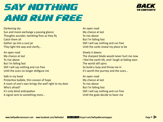## <span id="page-3-0"></span>SAY NOTHING AND RUN FREE

Darkening sky Sun and moon exchange a passing glance Thoughts asunder, twinkling fires as they fly Catch them all Gather up into a soul jar They light the way and clarify...

An open road My chance at last To rise above But I'm falling fast Still I will say nothing and run free Until the scars no longer disfigure me

Safe in my head Protective bubble, thin cocoon of hope A room of one's own brings the wolf right to my door Who's afraid? It's only blind anticipation A signal sent to something more...

An open road My chance at last To rise above But I'm falling fast Still I will say nothing and run free Until the cards reveal my place to be

Slowly it dawns The sharpest blade would never hurt me now I feel the earth tilt, and I laugh at fading stars The world still spins So build a loop and throw me in It's worth the journey and the scars...

An open road My chance at last To rise above But I'm falling fast Still I will say nothing and run free Until the gods decide to favor me



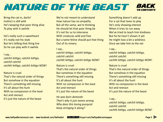#### <span id="page-4-0"></span>NATURE OF THE BEAST [BACK](#page-1-0) TO CONTENTS

Bring the cat in, darlin' Instinct is still wild He's keeping that poor thing alive To play with it awhile

He's really such a sweetheart It's really not his style But he's letting that thing live So he can play with it awhile

I say... *catchit letitgo, catchit letitgo, catchit catchit cachtit letitgo, catchit letitgo NOW!*

#### Nature is cruel

That's the natural order of things But somehow in the equation There's something still missing It's all about the hunt With no compassion in the least Act and reenact It's just the nature of the beast

We're not meant to understand How nature has no empathy But all the same, we're thinking He should let that poor thing be It's not for us to intervene With creatures wild and free But a tame feline should put that thing Out of its misery

#### I say...

*catchit letitgo, catchit letitgo, catchit catchit cachtit letitgo, catchit letitgo NOW!*

Nature is cruel That's the natural order of things But somehow in the equation There's something still missing It's all about the hunt With no compassion in the least Act and reenact It's just the nature of the beast

*He was born domestic That's why it just seems wrong Why does this loving pussycat Keep stringing it along?*

Something doesn't add up For a cat that loves to play He's only showing interest When it tries to run away We've tried to teach him kindness But he he hasn't shown it yet He might lose a bit a wildness Once we take him to the vet

#### I say...

*catchit letitgo, catchit letitgo, catchit catchit cachtit letitgo, catchit letitgo NOW!*

Nature is cruel That's the natural order of things But somehow in the equation There's something still missing It's all about the hunt With no compassion in the least Act and reenact It's just the nature of the beast

#### I say...

*catchit letitgo, catchit letitgo, catchit catchit cachtit letitgo, catchit letitgo NOW!*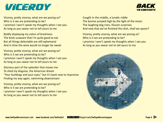### <span id="page-5-0"></span>VICEROY



Viceroy, pretty viceroy, what are we posing as? Who is it we are pretending to be? I promise I won't speak my thoughts when I see you As long as you swear not to tell yours to me

Boldly displaying my colors of brashness The birds unaware that I'm quite good to eat But all things delectable are still ephemeral And in time the wine would no longer be sweet

Viceroy, pretty viceroy, what are we posing as? Who is it we are pretending to be? I promise I won't speak my thoughts when I see you As long as you swear not to tell yours to me

Glorious part of the splendor that moves me To shed my disguise, the American dream "Your buildings and your eyes," but it's back now to improvise Finding my way again, swimming downstream

Viceroy, pretty viceroy, what are we posing as? Who is it we are pretending to be? I promise I won't speak my thoughts when I see you As long as you swear not to tell yours to me

Caught in the middle, a lunatic riddle The bovine jumped high by the light of the moon The laughing dog rises, illusion surprises And now that we've finished this dish, shall we spoon?

Viceroy, pretty viceroy, what are we posing as? Who is it we are pretending to be? I promise I won't speak my thoughts when I see you As long as you swear not to tell yours to me

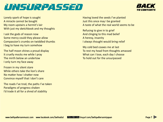### <span id="page-6-0"></span>UNSURPASSED



Lonely spark of hope is sought A miracle cannot be bought My room upstairs a hermit's lair With just my sketchbook and my thoughts

I ask the gods of reason now Some mercy could they please allow Compassion's crumbs on twiddled thumbs I beg to have my turn somehow

The half moon shines a proud display It cruelly mocks me while I pray The mirth below an undertow I only turn my face away

Frozen in my silent stare While others take the lion's share No matter how I shatter now Convince myself that I don't care

The roads I've trod, the paths I've taken Paradigms of progress shaken I'd trade it all for a shred of stability

Having loved the seeds I've planted Just this once may I be granted A taste of what the real world seems to be

Refusing to give in to grief And clinging to this mad belief A heresy, insanity I always thought would bring relief

My cold bed coaxes me at last To rest my head from thoughts amassed What can I lose, each day I choose To hold out for the unsurpassed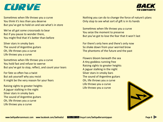### <span id="page-7-0"></span>CURVE



Sometimes when life throws you a curve You think it's less than you deserve But you've got to hold on and see what's in store

We've all got some crossroads to bear But if you pause to wonder there, You might find that it's better than before

Silver stars in smoky bars The sound of Argentine guitars Oh, life throws you a curve Life throws you a curve

Sometimes when life throws you a curve You hold fast and refuse to swerve But you've got to stop, reflect, and count your tears

For fate so often has a twist But ask yourself why you resist It might be the very reason for your fears

Raising sights to greater heights A jaguar stalking in the night Silver stars in smoky bars The sound of Argentine guitars Oh, life throws you a curve Life throws you a curve

Nothing you can do to change the force of nature's plans Only stop to see what sort of gift is in its hands

Sometimes when life throws you a curve You seize the moment to preserve But you've got to lose the fear that it won't last

For there's only here and there's only now So shake down from your worried brow The phantoms of the future and the past

Flowers bloom beneath the sea A tiny goddess running free Raising sights to greater heights A jaguar stalking in the night Silver stars in smoky bars The sound of Argentine guitars Oh, life throws you a curve Life throws you a curve Life throws you a curve

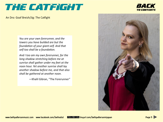### <span id="page-8-0"></span>THE CATFIGHT

An Dro: Goaf Breizh/Jig: The Catfight

*You are your own forerunner, and the towers you have builded are but the foundation of your giant-self. And that self too shall be a foundation.*

*And I too am my own forerunner, for the long shadow stretching before me at sunrise shall gather under my feet at the noon hour. Yet another sunrise shall lay another shadow before me, and that also shall be gathered at another noon.*

—Khalil Gibran, "The Forerunner"





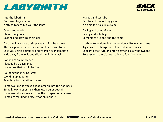## <span id="page-9-0"></span>LABYRINTH



Into the labyrinth Cut down to just a tenth Nothing to face but your thoughts

Omen and oracle Phantasmagorical Casting and drawing their lots

Cast the final stone or simply vanish in a heartbeat Throw a phony trail or turn around and make tracks Lose yourself in spirals or find yourself as incomplete Hide away from logic and slip through the cracks

Robbed of an innocence Plagued by a pestilence In a sense, that would be fine

Counting the missing lights Working up appetites Searching for something divine

Some would gladly take a leap of faith into the darkness Some know deeper hells than just a quiet despair Some would walk away to flee the prospect of a falseness Some are terrified to face emotion in there

Malbec and sassafras Smoke and the looking glass No time for stake in a claim

Calling and camouflage Saving and sabotage Sometimes are one and the same

Nothing to be done but bunker down like in a hurricane Try in vain to change or just accept what you see Look into the truth or simply shatter like a windowpane Rest assured there's not a thing to fear from me...

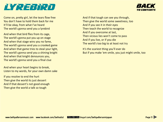<span id="page-10-0"></span>



Come on, pretty girl, let the tears flow free You don't have to hold them back for me It'll be okay, from what I've heard The world's gonna send you a lyrebird

And when that bird flies from its cage, The world's gonna put you up on stage And when that stage wins you no fame, The world's gonna send you a crooked game And when that game tries to steal your light, The world's gonna send you a shining knight And when that knight denounces you, The world's gonna send you a final clue

And when your heart begins to break, Listen to my words, for your own damn sake

If you resolve to end the hurt Then give the world its just dessert And if that dessert's not good enough Then give the world a talk so tough

And if that tough can see you through, Then give the world some sweetness, too And if you see it in their eyes Then teach the world to recognize And if you overcome at last, Then vicious lies won't come to pass And if you live, or if you die The world's too big to at least not try

It's the scariest thing you'll ever do But if you make 'em smile, you just might smile, too

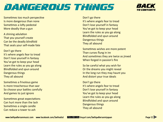## <span id="page-11-0"></span>DANGEROUS THINGS



Sometimes too much perspective Is more dangerous than none Sometimes a lofty pedestal More deadly than a gun

A shining adulation That you yourself create Can be the deadly blindfold That seals your self-made fate

#### Don't go there

It's where angels fear to tread Don't lose yourself in fantasy You've got to keep your head Learn the rules as you go along Blindfolded and spun around Dangerous things They all abound

Sometimes a frivolous game Is more treacherous than war So choose your battles carefully And games to just ignore

Sometimes great expectations Can hurt more than the lash Sometimes a single candle Can reduce a tower to ash

Don't go there It's where angels fear to tread Don't lose yourself in fantasy You've got to keep your head Learn the rules as you go along Blindfolded and spun around Dangerous things They all abound

Sometimes wishes are more potent Than curses flung in ire And sometimes they are twice as jinxed When forged in passion's fire

So be careful what you wish for Or the dreams you might reveal In the long run they may haunt you And distort your true ideals

Don't go there It's where angels fear to tread Don't lose yourself in fantasy You've got to keep your head Learn the rules as you go along Blindfolded and spun around Dangerous things They all abound

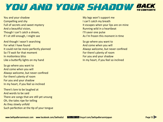#### <span id="page-12-0"></span>YOU AND YOUR SHADOW [BACK](#page-1-0) TO CONTENTS

You and your shadow Compelling and shy Full of secrets and sweet mystery And a beautiful vision, Though I can't catch a dream, If I sit still enough, I might see

And though I wasn't searching For what I have found It could not be more perfectly planned So I'll wait for that moment In motionless bliss Like a butterfly lights on my hand

So go where you want to And come when you will Always welcome, but never confined For there's plenty of room For you and your shadow In my heart, if you feel so inclined

There's lore to be laughed at And words to be said There are songs that are still yet unsung Oh, the tales ripe for telling As they slowly unfold Such perfection at the tip of your tongue

My legs won't support me I can't catch my breath It escapes when your lips are on mine Running wild in a heartbeat I'll savor one pulse As I'm frozen this moment in time

So go where you want to And come when you will Always welcome, but never confined For there's plenty of room For you and your shadow In my heart, if you feel so inclined

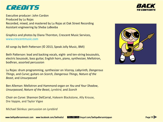### <span id="page-13-0"></span>CREDITS

Executive producer: John Cordon Produced by Lu Rojas Recorded, mixed, and mastered by Lu Rojas at Oak Street Recording Assistant engineering by Sheba LaBeeba

Graphics and photos by Diana Thornton, Crescent Music Services, [www.crescentmusic.com](http://www.crescentmusic.com)

All songs by Beth Patterson (© 2013, Speak Jolly Music, BMI)

Beth Patterson: lead and backing vocals, eight- and ten-string bouzoukis, electric bouzouki, bass guitar, English horn, piano, synthesizer, Mellotron, bodhran, assorted percussion

Lu Rojas: drum programming, synthesizer on *Viceroy, Labyrinth, Dangerous Things*, and *Curve*; guitars on *Scorch, Dangerous Things, Nature of the Beast*, and *Unsurpassed*

Ben Alleman: Mellotron and Hammond organ on *You and Your Shadow*, *Unsurpassed*, *Nature of the Beast*, *Lyrebird*, and *Scorch*

Choir on *Curve*: Shannon DelCorral, Hakeem Blackstone, Ally Krouse, Dre Vappie, and Taylor Vigee

Michael Skinkus: percussion on *Lyrebird*





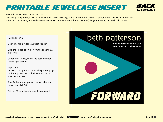### <span id="page-14-0"></span>PRINTABLE JEWELCASE INSERT



#### Hey, kids! You can burn your own CD!

One teeny thing, though...since music IS how I make my living, if you burn more than two copies, do me a favor? Just throw me a few bucks in my tip jar or order some USB wristbands (or some other of my titles) for your friends, and we'll call it even.

#### **INSTRUCTIONS**

Open this file in Adobe Acrobat Reader

Click the Print button, or from the File menu, click Print.

Under Print Range, select the page number (lower right corner).

#### Important.

Deselect the option to shrink the printed page to fit the paper size or the insert will be too small for the case.

Specify the printer, paper type, or other options, then click OK.

Cut the CD case insert along the crop marks.

### beth patterson

www.bethpattersonmusic.com www.facebook.com/bethodist

# TORWARD

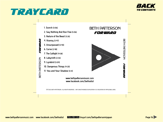### TRAYCARD